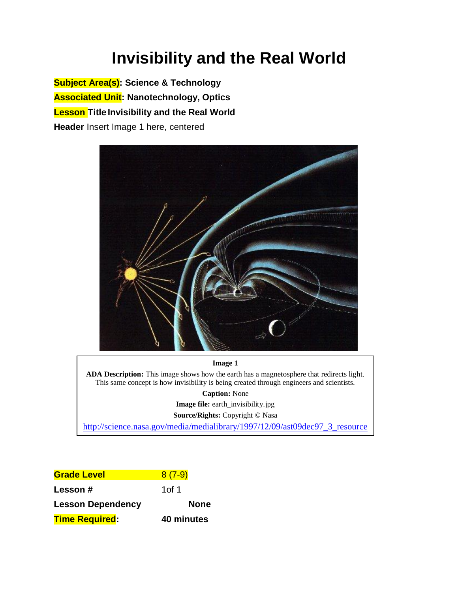# **Invisibility and the Real World**

**Subject Area(s): Science & Technology Associated Unit: Nanotechnology, Optics Lesson Title Invisibility and the Real World Header** Insert Image 1 here, centered



#### **Image 1**

**ADA Description:** This image shows how the earth has a magnetosphere that redirects light. This same concept is how invisibility is being created through engineers and scientists.

**Caption:** None

**Image file:** earth\_invisibility.jpg

**Source/Rights:** Copyright © Nasa

[http://science.nasa.gov/media/medialibrary/1997/12/09/ast09dec97\\_3\\_resource](http://science.nasa.gov/media/medialibrary/1997/12/09/ast09dec97_3_resources/3Dmag_sun.jpg) s/3Dmags/2Dmags/2Dmags/2Dmags/2Dmags/2Dmags/2Dmags/2Dmags/2Dmags/2Dmags/2Dmags/2Dmags/2Dmags/2Dmags/

| <b>Grade Level</b>       | $8(7-9)$    |
|--------------------------|-------------|
| Lesson#                  | 1of 1       |
| <b>Lesson Dependency</b> | <b>None</b> |
| <b>Time Required:</b>    | 40 minutes  |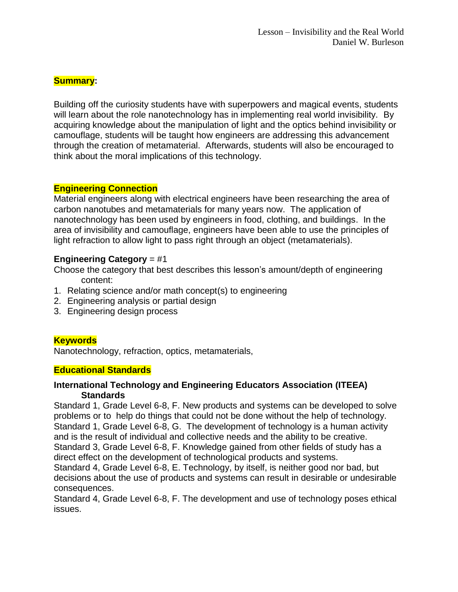# **Summary:**

Building off the curiosity students have with superpowers and magical events, students will learn about the role nanotechnology has in implementing real world invisibility. By acquiring knowledge about the manipulation of light and the optics behind invisibility or camouflage, students will be taught how engineers are addressing this advancement through the creation of metamaterial. Afterwards, students will also be encouraged to think about the moral implications of this technology.

### **Engineering Connection**

Material engineers along with electrical engineers have been researching the area of carbon nanotubes and metamaterials for many years now. The application of nanotechnology has been used by engineers in food, clothing, and buildings. In the area of invisibility and camouflage, engineers have been able to use the principles of light refraction to allow light to pass right through an object (metamaterials).

# **Engineering Category** = #1

Choose the category that best describes this lesson's amount/depth of engineering content:

- 1. Relating science and/or math concept(s) to engineering
- 2. Engineering analysis or partial design
- 3. Engineering design process

# **Keywords**

Nanotechnology, refraction, optics, metamaterials,

### **Educational Standards**

### **International Technology and Engineering Educators Association (ITEEA) Standards**

Standard 1, Grade Level 6-8, F. New products and systems can be developed to solve problems or to help do things that could not be done without the help of technology. Standard 1, Grade Level 6-8, G. The development of technology is a human activity and is the result of individual and collective needs and the ability to be creative. Standard 3, Grade Level 6-8, F. Knowledge gained from other fields of study has a direct effect on the development of technological products and systems.

Standard 4, Grade Level 6-8, E. Technology, by itself, is neither good nor bad, but decisions about the use of products and systems can result in desirable or undesirable consequences.

Standard 4, Grade Level 6-8, F. The development and use of technology poses ethical issues.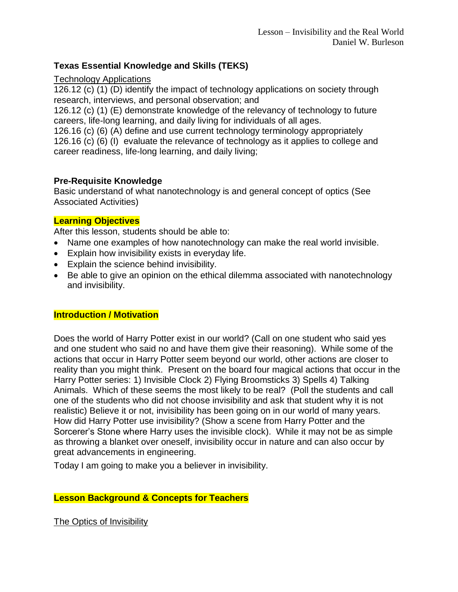# **Texas Essential Knowledge and Skills (TEKS)**

### Technology Applications

126.12 (c) (1) (D) identify the impact of technology applications on society through research, interviews, and personal observation; and

126.12 (c) (1) (E) demonstrate knowledge of the relevancy of technology to future careers, life-long learning, and daily living for individuals of all ages.

126.16 (c) (6) (A) define and use current technology terminology appropriately 126.16 (c) (6) (I) evaluate the relevance of technology as it applies to college and career readiness, life-long learning, and daily living;

### **Pre-Requisite Knowledge**

Basic understand of what nanotechnology is and general concept of optics (See Associated Activities)

### **Learning Objectives**

After this lesson, students should be able to:

- Name one examples of how nanotechnology can make the real world invisible.
- Explain how invisibility exists in everyday life.
- Explain the science behind invisibility.
- Be able to give an opinion on the ethical dilemma associated with nanotechnology and invisibility.

### **Introduction / Motivation**

Does the world of Harry Potter exist in our world? (Call on one student who said yes and one student who said no and have them give their reasoning). While some of the actions that occur in Harry Potter seem beyond our world, other actions are closer to reality than you might think. Present on the board four magical actions that occur in the Harry Potter series: 1) Invisible Clock 2) Flying Broomsticks 3) Spells 4) Talking Animals. Which of these seems the most likely to be real? (Poll the students and call one of the students who did not choose invisibility and ask that student why it is not realistic) Believe it or not, invisibility has been going on in our world of many years. How did Harry Potter use invisibility? (Show a scene from Harry Potter and the Sorcerer's Stone where Harry uses the invisible clock). While it may not be as simple as throwing a blanket over oneself, invisibility occur in nature and can also occur by great advancements in engineering.

Today I am going to make you a believer in invisibility.

# **Lesson Background & Concepts for Teachers**

The Optics of Invisibility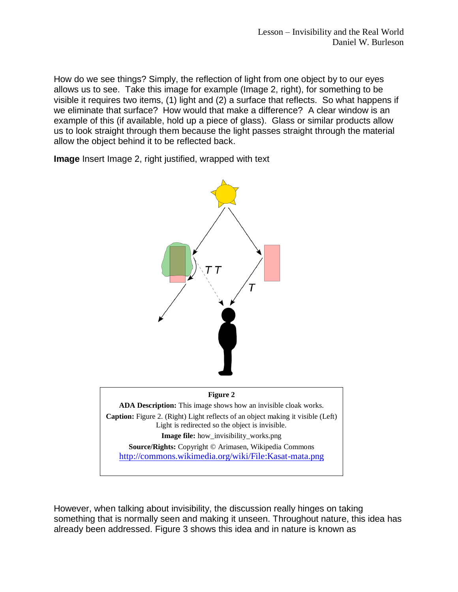How do we see things? Simply, the reflection of light from one object by to our eyes allows us to see. Take this image for example (Image 2, right), for something to be visible it requires two items, (1) light and (2) a surface that reflects. So what happens if we eliminate that surface? How would that make a difference? A clear window is an example of this (if available, hold up a piece of glass). Glass or similar products allow us to look straight through them because the light passes straight through the material allow the object behind it to be reflected back.

**Image** Insert Image 2, right justified, wrapped with text



However, when talking about invisibility, the discussion really hinges on taking something that is normally seen and making it unseen. Throughout nature, this idea has already been addressed. Figure 3 shows this idea and in nature is known as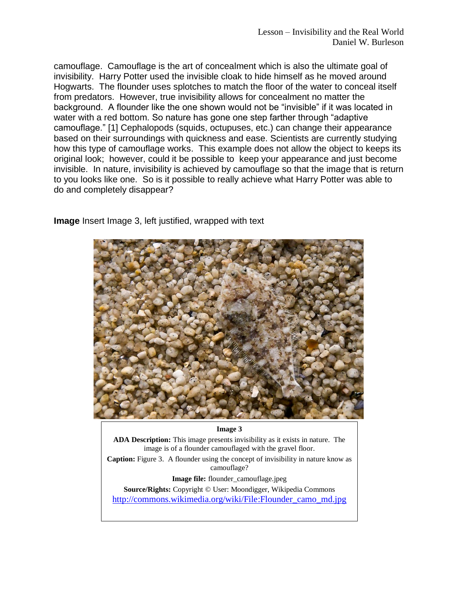camouflage. Camouflage is the art of concealment which is also the ultimate goal of invisibility. Harry Potter used the invisible cloak to hide himself as he moved around Hogwarts. The flounder uses splotches to match the floor of the water to conceal itself from predators. However, true invisibility allows for concealment no matter the background. A flounder like the one shown would not be "invisible" if it was located in water with a red bottom. So nature has gone one step farther through "adaptive camouflage." [\[1\]](#page-7-0) Cephalopods (squids, octupuses, etc.) can change their appearance based on their surroundings with quickness and ease. Scientists are currently studying how this type of camouflage works. This example does not allow the object to keeps its original look; however, could it be possible to keep your appearance and just become invisible. In nature, invisibility is achieved by camouflage so that the image that is return to you looks like one. So is it possible to really achieve what Harry Potter was able to do and completely disappear?

**Image** Insert Image 3, left justified, wrapped with text



#### **Image 3**

**ADA Description:** This image presents invisibility as it exists in nature. The image is of a flounder camouflaged with the gravel floor.

**Caption:** Figure 3. A flounder using the concept of invisibility in nature know as camouflage?

**Image file:** flounder camouflage.jpeg

**Source/Rights:** Copyright © User: Moondigger, Wikipedia Commons

[http://commons.wikimedia.org/wiki/File:Flounder\\_camo\\_md.jpg](http://commons.wikimedia.org/wiki/File:Flounder_camo_md.jpg)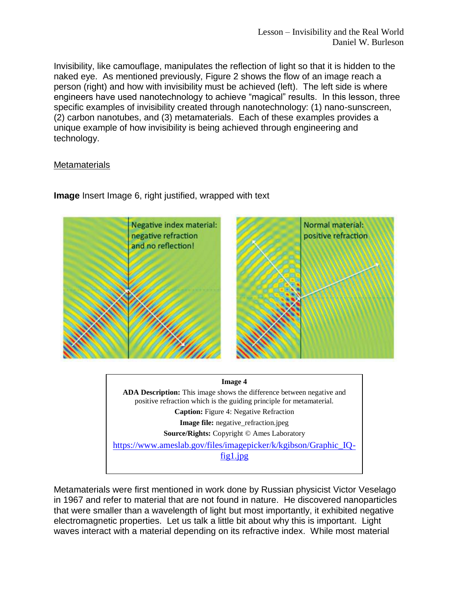Invisibility, like camouflage, manipulates the reflection of light so that it is hidden to the naked eye. As mentioned previously, Figure 2 shows the flow of an image reach a person (right) and how with invisibility must be achieved (left). The left side is where engineers have used nanotechnology to achieve "magical" results. In this lesson, three specific examples of invisibility created through nanotechnology: (1) nano-sunscreen, (2) carbon nanotubes, and (3) metamaterials. Each of these examples provides a unique example of how invisibility is being achieved through engineering and technology.

### **Metamaterials**



**Image** Insert Image 6, right justified, wrapped with text

**Image file:** negative\_refraction.jpeg

**Source/Rights:** Copyright © Ames Laboratory

[https://www.ameslab.gov/files/imagepicker/k/kgibson/Graphic\\_IQ](https://www.ameslab.gov/files/imagepicker/k/kgibson/Graphic_IQ-fig1.jpg)[fig1.jpg](https://www.ameslab.gov/files/imagepicker/k/kgibson/Graphic_IQ-fig1.jpg)

Metamaterials were first mentioned in work done by Russian physicist Victor Veselago in 1967 and refer to material that are not found in nature. He discovered nanoparticles that were smaller than a wavelength of light but most importantly, it exhibited negative electromagnetic properties. Let us talk a little bit about why this is important. Light waves interact with a material depending on its refractive index. While most material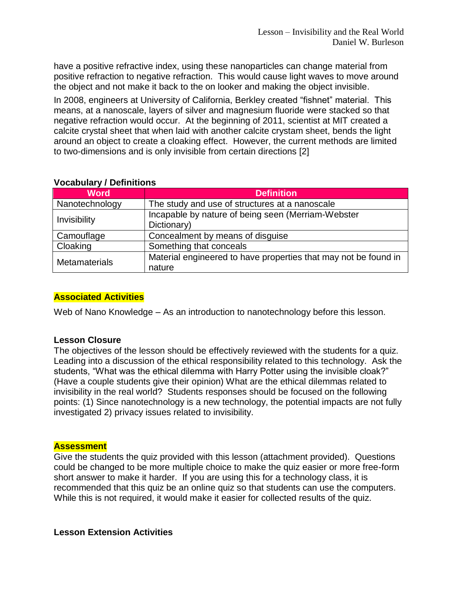have a positive refractive index, using these nanoparticles can change material from positive refraction to negative refraction. This would cause light waves to move around the object and not make it back to the on looker and making the object invisible.

In 2008, engineers at University of California, Berkley created "fishnet" material. This means, at a nanoscale, layers of silver and magnesium fluoride were stacked so that negative refraction would occur. At the beginning of 2011, scientist at MIT created a calcite crystal sheet that when laid with another calcite crystam sheet, bends the light around an object to create a cloaking effect. However, the current methods are limited to two-dimensions and is only invisible from certain directions [\[2\]](#page-7-1)

| <b>Word</b>          | <b>Definition</b>                                               |
|----------------------|-----------------------------------------------------------------|
| Nanotechnology       | The study and use of structures at a nanoscale                  |
| Invisibility         | Incapable by nature of being seen (Merriam-Webster              |
|                      | Dictionary)                                                     |
| Camouflage           | Concealment by means of disguise                                |
| Cloaking             | Something that conceals                                         |
| <b>Metamaterials</b> | Material engineered to have properties that may not be found in |
|                      | nature                                                          |

# **Vocabulary / Definitions**

# **Associated Activities**

Web of Nano Knowledge – As an introduction to nanotechnology before this lesson.

### **Lesson Closure**

The objectives of the lesson should be effectively reviewed with the students for a quiz. Leading into a discussion of the ethical responsibility related to this technology. Ask the students, "What was the ethical dilemma with Harry Potter using the invisible cloak?" (Have a couple students give their opinion) What are the ethical dilemmas related to invisibility in the real world? Students responses should be focused on the following points: (1) Since nanotechnology is a new technology, the potential impacts are not fully investigated 2) privacy issues related to invisibility.

### **Assessment**

Give the students the quiz provided with this lesson (attachment provided). Questions could be changed to be more multiple choice to make the quiz easier or more free-form short answer to make it harder. If you are using this for a technology class, it is recommended that this quiz be an online quiz so that students can use the computers. While this is not required, it would make it easier for collected results of the quiz.

### **Lesson Extension Activities**